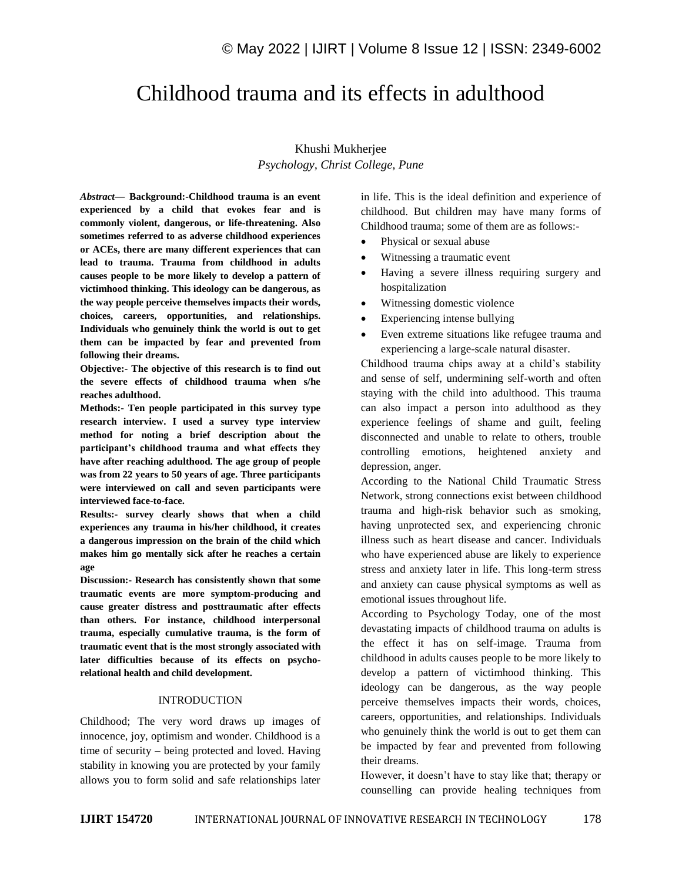# Childhood trauma and its effects in adulthood

# Khushi Mukherjee *Psychology, Christ College, Pune*

*Abstract—* **Background:-Childhood trauma is an event experienced by a child that evokes fear and is commonly violent, dangerous, or life-threatening. Also sometimes referred to as adverse childhood experiences or ACEs, there are many different experiences that can lead to trauma. Trauma from childhood in adults causes people to be more likely to develop a pattern of victimhood thinking. This ideology can be dangerous, as the way people perceive themselves impacts their words, choices, careers, opportunities, and relationships. Individuals who genuinely think the world is out to get them can be impacted by fear and prevented from following their dreams.**

**Objective:- The objective of this research is to find out the severe effects of childhood trauma when s/he reaches adulthood.**

**Methods:- Ten people participated in this survey type research interview. I used a survey type interview method for noting a brief description about the participant's childhood trauma and what effects they have after reaching adulthood. The age group of people was from 22 years to 50 years of age. Three participants were interviewed on call and seven participants were interviewed face-to-face.** 

**Results:- survey clearly shows that when a child experiences any trauma in his/her childhood, it creates a dangerous impression on the brain of the child which makes him go mentally sick after he reaches a certain age**

**Discussion:- Research has consistently shown that some traumatic events are more symptom-producing and cause greater distress and posttraumatic after effects than others. For instance, childhood interpersonal trauma, especially cumulative trauma, is the form of traumatic event that is the most strongly associated with later difficulties because of its effects on psychorelational health and child development.**

### INTRODUCTION

Childhood; The very word draws up images of innocence, joy, optimism and wonder. Childhood is a time of security – being protected and loved. Having stability in knowing you are protected by your family allows you to form solid and safe relationships later in life. This is the ideal definition and experience of childhood. But children may have many forms of Childhood trauma; some of them are as follows:-

- Physical or sexual abuse
- Witnessing a traumatic event
- Having a severe illness requiring surgery and hospitalization
- Witnessing domestic violence
- Experiencing intense bullying
- Even extreme situations like refugee trauma and experiencing a large-scale natural disaster.

Childhood trauma chips away at a child's stability and sense of self, undermining self-worth and often staying with the child into adulthood. This trauma can also impact a person into adulthood as they experience feelings of shame and guilt, feeling disconnected and unable to relate to others, trouble controlling emotions, heightened anxiety and depression, anger.

According to the National Child Traumatic Stress Network, strong connections exist between childhood trauma and high-risk behavior such as smoking, having unprotected sex, and experiencing chronic illness such as heart disease and cancer. Individuals who have experienced abuse are likely to experience stress and anxiety later in life. This long-term stress and anxiety can cause physical symptoms as well as emotional issues throughout life.

According to Psychology Today, one of the most devastating impacts of childhood trauma on adults is the effect it has on self-image. Trauma from childhood in adults causes people to be more likely to develop a pattern of victimhood thinking. This ideology can be dangerous, as the way people perceive themselves impacts their words, choices, careers, opportunities, and relationships. Individuals who genuinely think the world is out to get them can be impacted by fear and prevented from following their dreams.

However, it doesn't have to stay like that; therapy or counselling can provide healing techniques from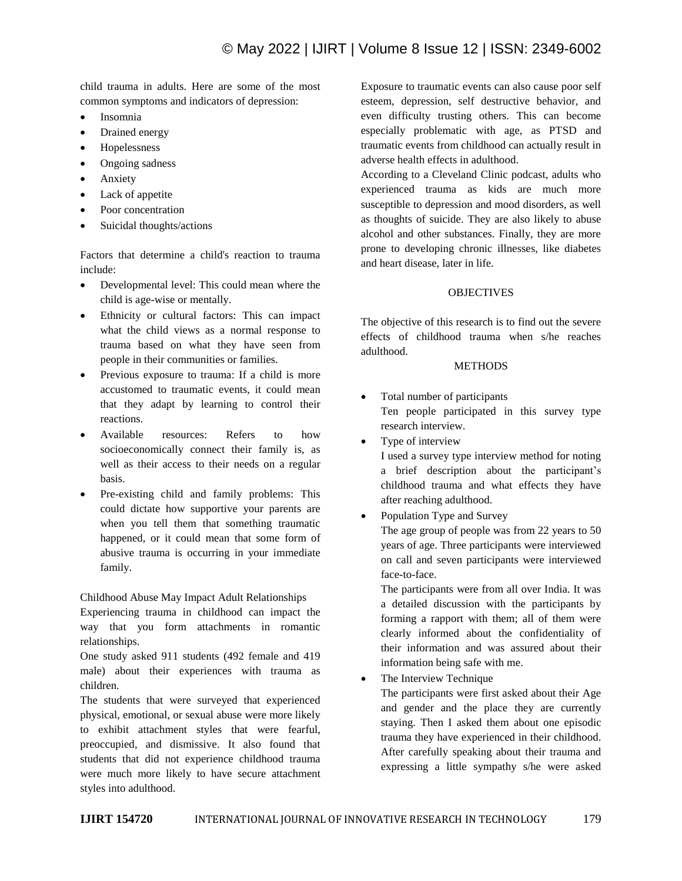child trauma in adults. Here are some of the most common symptoms and indicators of depression:

- Insomnia
- Drained energy
- Hopelessness
- Ongoing sadness
- Anxiety
- Lack of appetite
- Poor concentration
- Suicidal thoughts/actions

Factors that determine a child's reaction to trauma include:

- Developmental level: This could mean where the child is age-wise or mentally.
- Ethnicity or cultural factors: This can impact what the child views as a normal response to trauma based on what they have seen from people in their communities or families.
- Previous exposure to trauma: If a child is more accustomed to traumatic events, it could mean that they adapt by learning to control their reactions.
- Available resources: Refers to how socioeconomically connect their family is, as well as their access to their needs on a regular basis.
- Pre-existing child and family problems: This could dictate how supportive your parents are when you tell them that something traumatic happened, or it could mean that some form of abusive trauma is occurring in your immediate family.

Childhood Abuse May Impact Adult Relationships

Experiencing trauma in childhood can impact the way that you form attachments in romantic relationships.

One study asked 911 students (492 female and 419 male) about their experiences with trauma as children.

The students that were surveyed that experienced physical, emotional, or sexual abuse were more likely to exhibit attachment styles that were fearful, preoccupied, and dismissive. It also found that students that did not experience childhood trauma were much more likely to have secure attachment styles into adulthood.

Exposure to traumatic events can also cause poor self esteem, depression, self destructive behavior, and even difficulty trusting others. This can become especially problematic with age, as PTSD and traumatic events from childhood can actually result in adverse health effects in adulthood.

According to a Cleveland Clinic podcast, adults who experienced trauma as kids are much more susceptible to depression and mood disorders, as well as thoughts of suicide. They are also likely to abuse alcohol and other substances. Finally, they are more prone to developing chronic illnesses, like diabetes and heart disease, later in life.

# **OBJECTIVES**

The objective of this research is to find out the severe effects of childhood trauma when s/he reaches adulthood.

## **METHODS**

 Total number of participants Ten people participated in this survey type research interview.

Type of interview

I used a survey type interview method for noting a brief description about the participant's childhood trauma and what effects they have after reaching adulthood.

Population Type and Survey

The age group of people was from 22 years to 50 years of age. Three participants were interviewed on call and seven participants were interviewed face-to-face.

The participants were from all over India. It was a detailed discussion with the participants by forming a rapport with them; all of them were clearly informed about the confidentiality of their information and was assured about their information being safe with me.

The Interview Technique

The participants were first asked about their Age and gender and the place they are currently staying. Then I asked them about one episodic trauma they have experienced in their childhood. After carefully speaking about their trauma and expressing a little sympathy s/he were asked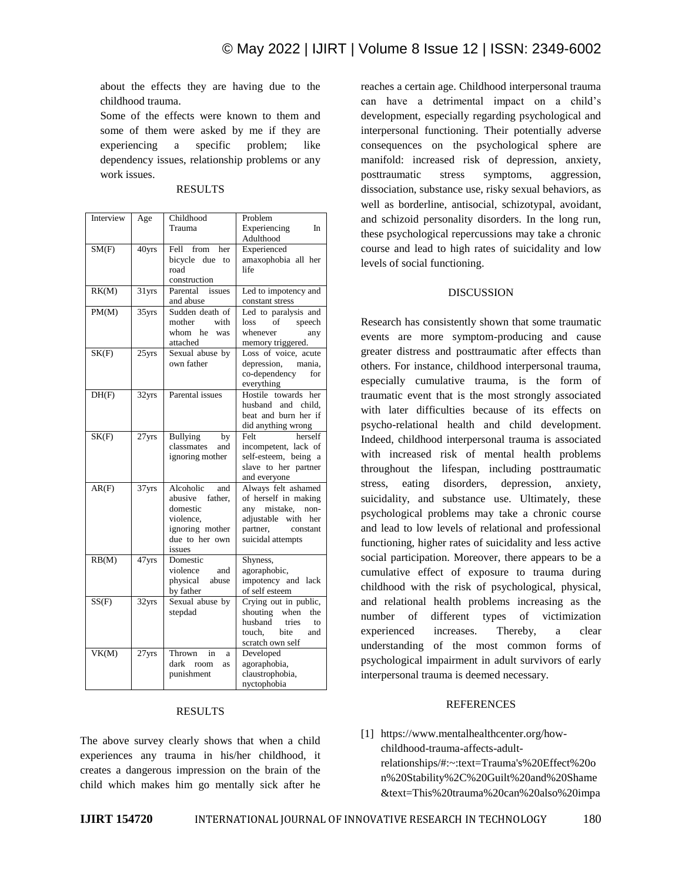about the effects they are having due to the childhood trauma.

Some of the effects were known to them and some of them were asked by me if they are experiencing a specific problem; like dependency issues, relationship problems or any work issues.

| Interview | Age      | Childhood            | Problem                 |
|-----------|----------|----------------------|-------------------------|
|           |          | Trauma               | Experiencing<br>In      |
|           |          |                      | Adulthood               |
| SM(F)     | 40yrs    | Fell<br>from<br>her  | Experienced             |
|           |          | bicycle<br>due<br>to | amaxophobia all her     |
|           |          | road                 | life                    |
|           |          | construction         |                         |
| RK(M)     | 31yrs    | Parental issues      |                         |
|           |          |                      | Led to impotency and    |
|           |          | and abuse            | constant stress         |
| PM(M)     | $35$ yrs | Sudden death of      | Led to paralysis and    |
|           |          | mother<br>with       | of<br>loss<br>speech    |
|           |          | whom he was          | whenever<br>any         |
|           |          | attached             | memory triggered.       |
| SK(F)     | $25$ yrs | Sexual abuse by      | Loss of voice, acute    |
|           |          | own father           | depression,<br>mania,   |
|           |          |                      | co-dependency<br>for    |
|           |          |                      | everything              |
| DH(F)     | 32yrs    | Parental issues      | Hostile towards<br>her  |
|           |          |                      | husband and child.      |
|           |          |                      | beat and burn her if    |
|           |          |                      | did anything wrong      |
|           |          | <b>Bullying</b>      | herself<br>Felt         |
| SK(F)     | 27yrs    | by                   |                         |
|           |          | classmates<br>and    | incompetent, lack of    |
|           |          | ignoring mother      | self-esteem, being a    |
|           |          |                      | slave to her partner    |
|           |          |                      | and everyone            |
| AR(F)     | 37yrs    | Alcoholic<br>and     | Always felt ashamed     |
|           |          | abusive father,      | of herself in making    |
|           |          | domestic             | any<br>mistake,<br>non- |
|           |          | violence.            | adjustable with<br>her  |
|           |          | ignoring mother      | partner,<br>constant    |
|           |          | due to her own       | suicidal attempts       |
|           |          | issues               |                         |
| RB(M)     | 47yrs    | Domestic             | Shyness,                |
|           |          | violence<br>and      | agoraphobic,            |
|           |          | physical<br>abuse    | impotency and lack      |
|           |          | by father            | of self esteem          |
| SS(F)     | 32yrs    | Sexual abuse by      | Crying out in public,   |
|           |          | stepdad              | shouting when<br>the    |
|           |          |                      | husband<br>tries        |
|           |          |                      | to                      |
|           |          |                      | touch,<br>bite<br>and   |
|           |          |                      | scratch own self        |
| VK(M)     | 27yrs    | Thrown<br>in<br>a    | Developed               |
|           |          | dark<br>room<br>as   | agoraphobia,            |
|           |          | punishment           | claustrophobia,         |
|           |          |                      | nyctophobia             |

#### RESULTS

# RESULTS

The above survey clearly shows that when a child experiences any trauma in his/her childhood, it creates a dangerous impression on the brain of the child which makes him go mentally sick after he

reaches a certain age. Childhood interpersonal trauma can have a detrimental impact on a child's development, especially regarding psychological and interpersonal functioning. Their potentially adverse consequences on the psychological sphere are manifold: increased risk of depression, anxiety, posttraumatic stress symptoms, aggression, dissociation, substance use, risky sexual behaviors, as well as borderline, antisocial, schizotypal, avoidant, and schizoid personality disorders. In the long run, these psychological repercussions may take a chronic course and lead to high rates of suicidality and low levels of social functioning.

#### DISCUSSION

Research has consistently shown that some traumatic events are more symptom-producing and cause greater distress and posttraumatic after effects than others. For instance, childhood interpersonal trauma, especially cumulative trauma, is the form of traumatic event that is the most strongly associated with later difficulties because of its effects on psycho-relational health and child development. Indeed, childhood interpersonal trauma is associated with increased risk of mental health problems throughout the lifespan, including posttraumatic stress, eating disorders, depression, anxiety, suicidality, and substance use. Ultimately, these psychological problems may take a chronic course and lead to low levels of relational and professional functioning, higher rates of suicidality and less active social participation. Moreover, there appears to be a cumulative effect of exposure to trauma during childhood with the risk of psychological, physical, and relational health problems increasing as the number of different types of victimization experienced increases. Thereby, a clear understanding of the most common forms of psychological impairment in adult survivors of early interpersonal trauma is deemed necessary.

#### REFERENCES

[1] https://www.mentalhealthcenter.org/howchildhood-trauma-affects-adultrelationships/#:~:text=Trauma's%20Effect%20o n%20Stability%2C%20Guilt%20and%20Shame &text=This%20trauma%20can%20also%20impa